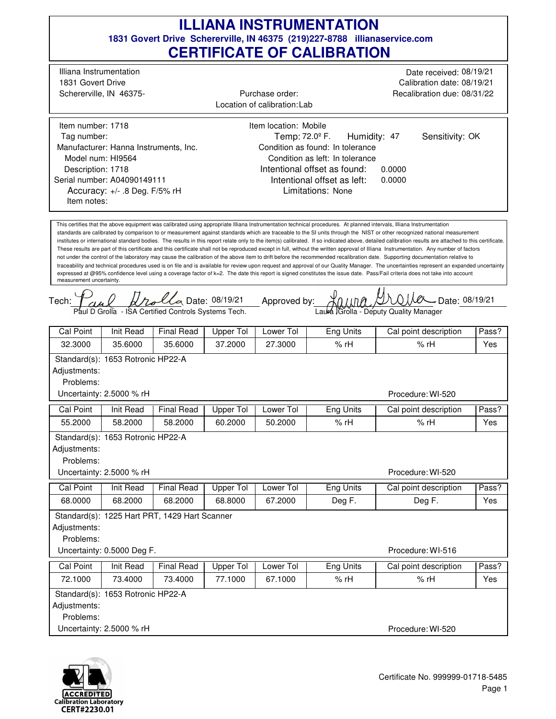## **1831 Govert Drive Schererville, IN 46375 (219)227-8788 illianaservice.com CERTIFICATE OF CALIBRATION ILLIANA INSTRUMENTATION**

 $U_0$  Date: 08/19/21 Approved by:  $\mathcal{X}_{0,l,l,n}$   $\mathcal{Y}_{0,l}$   $\mathcal{Y}_{0,l}$  Date: 08/19/21 traceability and technical procedures used is on file and is available for review upon request and approval of our Quality Manager. The uncertainties represent an expanded uncertainty Intentional offset as found: Tech: This certifies that the above equipment was calibrated using appropriate Illiana Instrumentation technical procedures. At planned intervals, Illiana Instrumentation standards are calibrated by comparison to or measurement against standards which are traceable to the SI units through the NIST or other recognized national measurement institutes or international standard bodies. The results in this report relate only to the item(s) calibrated. If so indicated above, detailed calibration results are attached to this certificate. These results are part of this certificate and this certificate shall not be reproduced except in full, without the written approval of Illiana Instrumentation. Any number of factors not under the control of the laboratory may cause the calibration of the above item to drift before the recommended recalibration date. Supporting documentation relative to expressed at @95% confidence level using a coverage factor of k=2. The date this report is signed constitutes the issue date. Pass/Fail criteria does not take into account measurement uncertainty. Date:  $08/19/21$  Approved by:  $\frac{1}{2}$   $\frac{1}{2}$   $\frac{1}{2}$   $\frac{1}{2}$   $\frac{1}{2}$   $\frac{1}{2}$   $\frac{1}{2}$   $\frac{1}{2}$   $\frac{1}{2}$   $\frac{1}{2}$   $\frac{1}{2}$   $\frac{1}{2}$   $\frac{1}{2}$   $\frac{1}{2}$   $\frac{1}{2}$   $\frac{1}{2}$   $\frac{1}{2}$   $\frac{1}{2}$   $\frac{1}{2}$  0.0000 Limitations: None Temp:  $72.0^{\circ}$  F. 0.0000 Accuracy: +/- .8 Deg. F/5% rH Humidity: 47 Illiana Instrumentation Schererville, IN 46375- 1831 Govert Drive Date received: 08/19/21 Calibration date: 08/19/21 Recalibration due: 08/31/22 Location of calibration: Lab Item number: 1718 Description: 1718 Manufacturer: Hanna Instruments, Inc. Model num: HI9564 Tag number: Serial number: A04090149111 Item location: Mobile Condition as found: In tolerance Condition as left: In tolerance Purchase order: Item notes: Sensitivity: OK Intentional offset as left: Paul D Grolla - ISA Certified Controls Systems Tech. Laura Grolla - Deputy Quality Manager Procedure: WI-520 Cal Point | Init Read | Final Read | Upper Tol | Lower Tol | Eng Units | Cal point description | Pass? 32.3000 35.6000 35.6000 37.2000 27.3000 % rH Yes Standard(s): 1653 Rotronic HP22-A Adjustments: Problems: Uncertainty: 2.5000 % rH % rH Procedure: WI-520 Cal Point | Init Read | Final Read | Upper Tol | Lower Tol | Eng Units | Cal point description | Pass? 55.2000 58.2000 58.2000 60.2000 50.2000 % rH Yes Standard(s): 1653 Rotronic HP22-A Adjustments: Problems: Uncertainty: 2.5000 % rH % rH Procedure: WI-516 Cal Point | Init Read | Final Read | Upper Tol | Lower Tol | Eng Units | Cal point description | Pass? 68.0000 | 68.2000 | 68.2000 | 68.8000 | 67.2000 | Deg F. | Yes Standard(s): 1225 Hart PRT, 1429 Hart Scanner Adjustments: Problems: Uncertainty: 0.5000 Deg F. Deg F. Procedure: WI-520 Cal Point | Init Read | Final Read | Upper Tol | Lower Tol | Eng Units | Cal point description | Pass? 72.1000 73.4000 73.4000 77.1000 67.1000 % rH Yes Standard(s): 1653 Rotronic HP22-A Adjustments: Problems: Uncertainty: 2.5000 % rH % rH